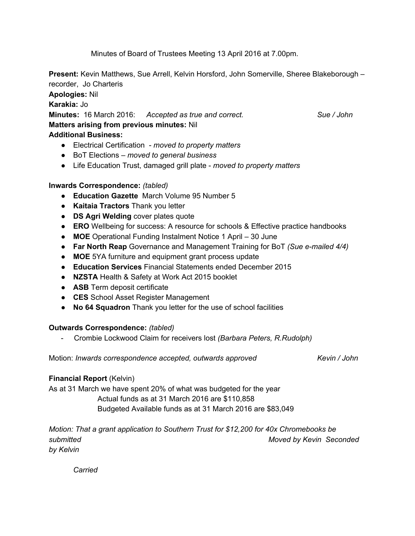Minutes of Board of Trustees Meeting 13 April 2016 at 7.00pm.

**Present:**Kevin Matthews, Sue Arrell, Kelvin Horsford, John Somerville, Sheree Blakeborough – recorder, Jo Charteris

**Apologies:** Nil

**Karakia:** Jo

**Minutes:** 16 March 2016: *Accepted as true and correct. Sue / John*

# **Matters arising from previous minutes:** Nil

# **Additional Business:**

- Electrical Certification *moved to property matters*
- BoT Elections *moved to general business*
- Life Education Trust, damaged grill plate *moved to property matters*

# **Inwards Correspondence:** *(tabled)*

- **Education Gazette** March Volume 95 Number 5
- **Kaitaia Tractors** Thank you letter
- **DS Agri Welding**cover plates quote
- **ERO** Wellbeing for success: A resource for schools & Effective practice handbooks
- **MOE** Operational Funding Instalment Notice 1 April 30 June
- **Far North Reap** Governance and Management Training for BoT *(Sue emailed 4/4)*
- **MOE** 5YA furniture and equipment grant process update
- **Education Services**Financial Statements ended December 2015
- **NZSTA** Health & Safety at Work Act 2015 booklet
- **ASB** Term deposit certificate
- **CES** School Asset Register Management
- **No 64 Squadron** Thank you letter for the use of school facilities

## **Outwards Correspondence:** *(tabled)*

Crombie Lockwood Claim for receivers lost *(Barbara Peters, R.Rudolph)*

Motion: *Inwards correspondence accepted, outwards approved Kevin / John*

## **Financial Report** (Kelvin)

As at 31 March we have spent 20% of what was budgeted for the year Actual funds as at 31 March 2016 are \$110,858

Budgeted Available funds as at 31 March 2016 are \$83,049

*Motion: That a grant application to Southern Trust for \$12,200 for 40x Chromebooks be submitted Moved by Kevin Seconded by Kelvin*

*Carried*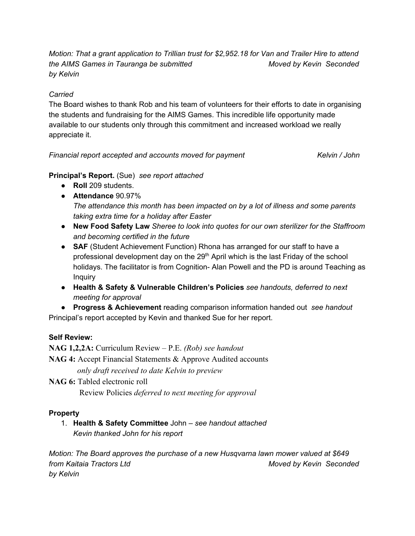*Motion: That a grant application to Trillian trust for \$2,952.18 for Van and Trailer Hire to attend the AIMS Games in Tauranga be submitted Moved by Kevin Seconded by Kelvin*

#### *Carried*

The Board wishes to thank Rob and his team of volunteers for their efforts to date in organising the students and fundraising for the AIMS Games. This incredible life opportunity made available to our students only through this commitment and increased workload we really appreciate it.

*Financial report accepted and accounts moved for payment Kelvin / John*

**Principal's Report.** (Sue) *see report attached*

- **Roll**209 students.
- **Attendance** 90.97% *The attendance this month has been impacted on by a lot of illness and some parents taking extra time for a holiday after Easter*
- **New Food Safety Law** *Sheree to look into quotes for our own sterilizer for the Staffroom and becoming certified in the future*
- **SAF** (Student Achievement Function) Rhona has arranged for our staff to have a professional development day on the 29<sup>th</sup> April which is the last Friday of the school holidays. The facilitator is from Cognition- Alan Powell and the PD is around Teaching as Inquiry
- **Health & Safety & Vulnerable Children's Policies** *see handouts, deferred to next meeting for approval*

● **Progress & Achievement** reading comparison information handed out *see handout* Principal's report accepted by Kevin and thanked Sue for her report.

## **Self Review:**

**NAG 1,2,2A:** Curriculum Review – P.E. *(Rob) see handout* **NAG 4:** Accept Financial Statements & Approve Audited accounts *only draft received to date Kelvin to preview*

**NAG 6:** Tabled electronic roll Review Policies *deferred to next meeting for approval*

#### **Property**

1. **Health & Safety Committee** John *– see handout attached Kevin thanked John for his report*

*Motion: The Board approves the purchase of a new Husqvarna lawn mower valued at \$649 from Kaitaia Tractors Ltd Moved by Kevin Seconded by Kelvin*